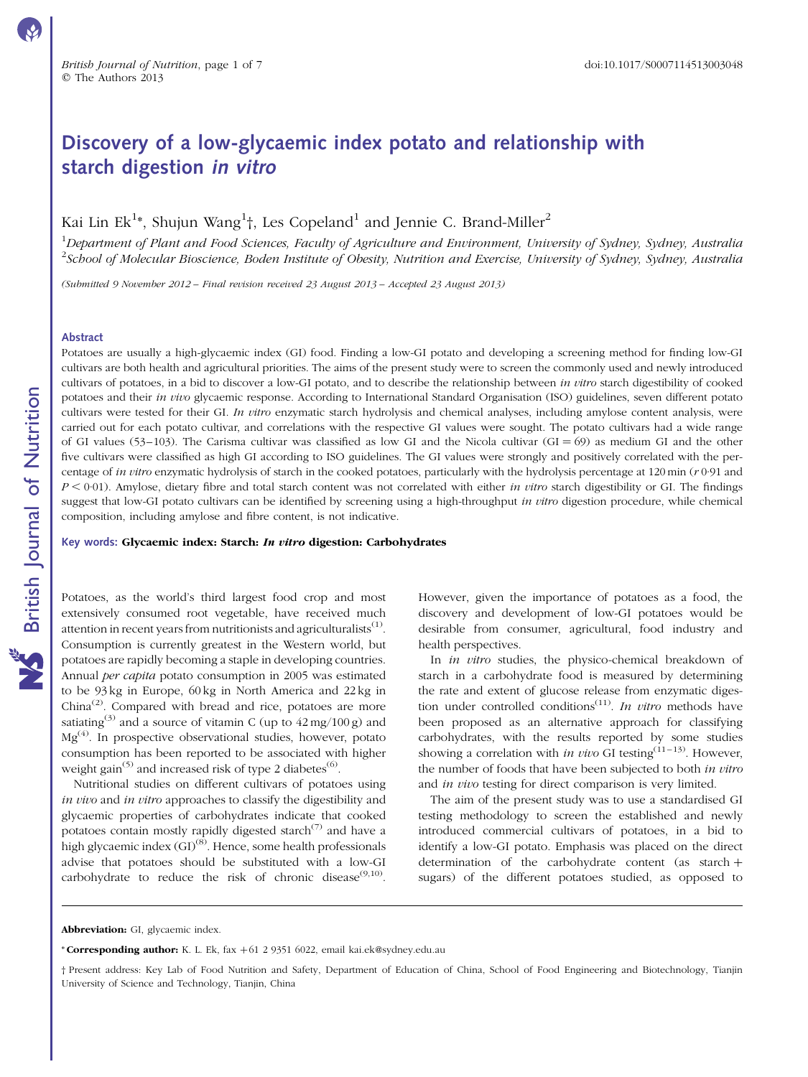# Discovery of a low-glycaemic index potato and relationship with starch digestion in vitro

# Kai Lin Ek $^{1*}$ , Shujun Wang $^{1}\dagger$ , Les Copeland $^{1}$  and Jennie C. Brand-Miller $^{2}$

 $^1$ Department of Plant and Food Sciences, Faculty of Agriculture and Environment, University of Sydney, Sydney, Australia  $^2$ School of Molecular Bioscience, Boden Institute of Obesity, Nutrition and Exercise, University of Sydney, Sydney, Australia

(Submitted 9 November 2012 – Final revision received 23 August 2013 – Accepted 23 August 2013)

#### Abstract

Potatoes are usually a high-glycaemic index (GI) food. Finding a low-GI potato and developing a screening method for finding low-GI cultivars are both health and agricultural priorities. The aims of the present study were to screen the commonly used and newly introduced cultivars of potatoes, in a bid to discover a low-GI potato, and to describe the relationship between in vitro starch digestibility of cooked potatoes and their in vivo glycaemic response. According to International Standard Organisation (ISO) guidelines, seven different potato cultivars were tested for their GI. In vitro enzymatic starch hydrolysis and chemical analyses, including amylose content analysis, were carried out for each potato cultivar, and correlations with the respective GI values were sought. The potato cultivars had a wide range of GI values (53–103). The Carisma cultivar was classified as low GI and the Nicola cultivar (GI = 69) as medium GI and the other five cultivars were classified as high GI according to ISO guidelines. The GI values were strongly and positively correlated with the percentage of in vitro enzymatic hydrolysis of starch in the cooked potatoes, particularly with the hydrolysis percentage at 120 min (r 0·91 and  $P < 0.01$ ). Amylose, dietary fibre and total starch content was not correlated with either in vitro starch digestibility or GI. The findings suggest that low-GI potato cultivars can be identified by screening using a high-throughput in vitro digestion procedure, while chemical composition, including amylose and fibre content, is not indicative.

Key words: Glycaemic index: Starch: In vitro digestion: Carbohydrates

Potatoes, as the world's third largest food crop and most extensively consumed root vegetable, have received much attention in recent years from nutritionists and agriculturalists<sup>(1)</sup>. Consumption is currently greatest in the Western world, but potatoes are rapidly becoming a staple in developing countries. Annual *per capita* potato consumption in 2005 was estimated to be 93 kg in Europe, 60 kg in North America and 22 kg in China<sup>(2)</sup>. Compared with bread and rice, potatoes are more satiating<sup>(3)</sup> and a source of vitamin C (up to  $42 \,\text{mg}/100 \,\text{g}$ ) and  $Mg<sup>(4)</sup>$ . In prospective observational studies, however, potato consumption has been reported to be associated with higher weight gain<sup>(5)</sup> and increased risk of type 2 diabetes<sup>(6)</sup>.

Nutritional studies on different cultivars of potatoes using in vivo and in vitro approaches to classify the digestibility and glycaemic properties of carbohydrates indicate that cooked potatoes contain mostly rapidly digested starch<sup> $(7)$ </sup> and have a high glycaemic index  $(GI)^{(8)}$ . Hence, some health professionals advise that potatoes should be substituted with a low-GI carbohydrate to reduce the risk of chronic disease<sup>(9,10)</sup>.

However, given the importance of potatoes as a food, the discovery and development of low-GI potatoes would be desirable from consumer, agricultural, food industry and health perspectives.

In in vitro studies, the physico-chemical breakdown of starch in a carbohydrate food is measured by determining the rate and extent of glucose release from enzymatic digestion under controlled conditions<sup> $(11)$ </sup>. In vitro methods have been proposed as an alternative approach for classifying carbohydrates, with the results reported by some studies showing a correlation with *in vivo* GI testing<sup> $(11-13)$ </sup>. However, the number of foods that have been subjected to both in vitro and in vivo testing for direct comparison is very limited.

The aim of the present study was to use a standardised GI testing methodology to screen the established and newly introduced commercial cultivars of potatoes, in a bid to identify a low-GI potato. Emphasis was placed on the direct determination of the carbohydrate content (as starch  $+$ sugars) of the different potatoes studied, as opposed to

Abbreviation: GI, glycaemic index.

\* Corresponding author: K. L. Ek, fax  $+61$  2 9351 6022, email kai.ek@sydney.edu.au

<sup>†</sup> Present address: Key Lab of Food Nutrition and Safety, Department of Education of China, School of Food Engineering and Biotechnology, Tianjin University of Science and Technology, Tianjin, China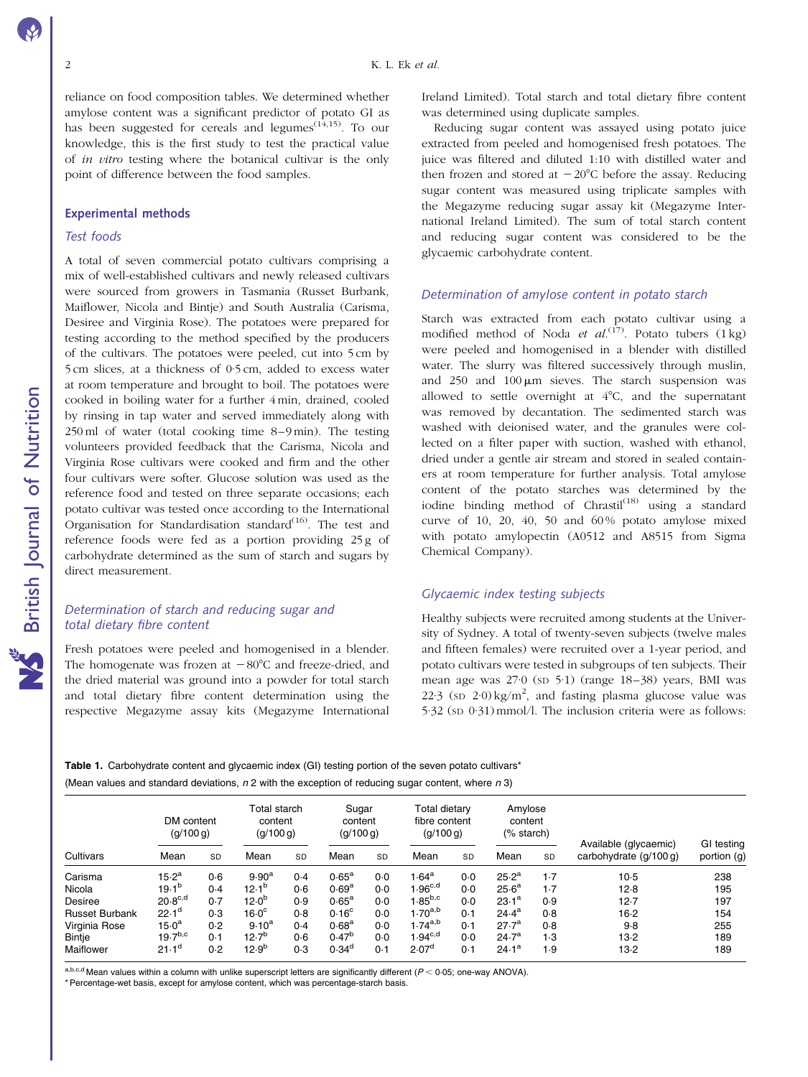<span id="page-1-0"></span>

reliance on food composition tables. We determined whether amylose content was a significant predictor of potato GI as has been suggested for cereals and legumes<sup> $(14,15)$ </sup>. To our knowledge, this is the first study to test the practical value of in vitro testing where the botanical cultivar is the only point of difference between the food samples.

### Experimental methods

# Test foods

A total of seven commercial potato cultivars comprising a mix of well-established cultivars and newly released cultivars were sourced from growers in Tasmania (Russet Burbank, Maiflower, Nicola and Bintje) and South Australia (Carisma, Desiree and Virginia Rose). The potatoes were prepared for testing according to the method specified by the producers of the cultivars. The potatoes were peeled, cut into 5 cm by 5 cm slices, at a thickness of 0·5 cm, added to excess water at room temperature and brought to boil. The potatoes were cooked in boiling water for a further 4 min, drained, cooled by rinsing in tap water and served immediately along with 250 ml of water (total cooking time 8–9 min). The testing volunteers provided feedback that the Carisma, Nicola and Virginia Rose cultivars were cooked and firm and the other four cultivars were softer. Glucose solution was used as the reference food and tested on three separate occasions; each potato cultivar was tested once according to the International Organisation for Standardisation standard $(16)$ . The test and reference foods were fed as a portion providing 25 g of carbohydrate determined as the sum of starch and sugars by direct measurement.

# Determination of starch and reducing sugar and total dietary fibre content

Fresh potatoes were peeled and homogenised in a blender. The homogenate was frozen at  $-80^{\circ}$ C and freeze-dried, and the dried material was ground into a powder for total starch and total dietary fibre content determination using the respective Megazyme assay kits (Megazyme International Ireland Limited). Total starch and total dietary fibre content was determined using duplicate samples.

Reducing sugar content was assayed using potato juice extracted from peeled and homogenised fresh potatoes. The juice was filtered and diluted 1:10 with distilled water and then frozen and stored at  $-20^{\circ}$ C before the assay. Reducing sugar content was measured using triplicate samples with the Megazyme reducing sugar assay kit (Megazyme International Ireland Limited). The sum of total starch content and reducing sugar content was considered to be the glycaemic carbohydrate content.

#### Determination of amylose content in potato starch

Starch was extracted from each potato cultivar using a modified method of Noda et  $al^{(17)}$ . Potato tubers (1 kg) were peeled and homogenised in a blender with distilled water. The slurry was filtered successively through muslin, and 250 and  $100 \mu m$  sieves. The starch suspension was allowed to settle overnight at  $4^{\circ}$ C, and the supernatant was removed by decantation. The sedimented starch was washed with deionised water, and the granules were collected on a filter paper with suction, washed with ethanol, dried under a gentle air stream and stored in sealed containers at room temperature for further analysis. Total amylose content of the potato starches was determined by the iodine binding method of Chrastil<sup>(18)</sup> using a standard curve of 10, 20, 40, 50 and  $60\%$  potato amylose mixed with potato amylopectin (A0512 and A8515 from Sigma Chemical Company).

# Glycaemic index testing subjects

Healthy subjects were recruited among students at the University of Sydney. A total of twenty-seven subjects (twelve males and fifteen females) were recruited over a 1-year period, and potato cultivars were tested in subgroups of ten subjects. Their mean age was 27·0 (SD 5·1) (range 18–38) years, BMI was 22.3 (sp  $2.0 \text{ kg/m}^2$ , and fasting plasma glucose value was 5·32 (SD 0·31) mmol/l. The inclusion criteria were as follows:

Table 1. Carbohydrate content and glycaemic index (GI) testing portion of the seven potato cultivars\* (Mean values and standard deviations,  $n/2$  with the exception of reducing sugar content, where  $n/3$ )

| Cultivars             | DM content<br>(g/100 g) |           | Total starch<br>content<br>(g/100 g) |           | Sugar<br>content<br>(g/100 g) |           | Total dietary<br>fibre content<br>(g/100 g) |     | Amylose<br>content<br>(% starch) |       |                                                 | GI testing  |
|-----------------------|-------------------------|-----------|--------------------------------------|-----------|-------------------------------|-----------|---------------------------------------------|-----|----------------------------------|-------|-------------------------------------------------|-------------|
|                       | Mean                    | <b>SD</b> | Mean                                 | <b>SD</b> | Mean                          | <b>SD</b> | Mean                                        | SD  | Mean                             | SD    | Available (glycaemic)<br>carbohydrate (g/100 g) | portion (g) |
| Carisma               | $15.2^{\rm a}$          | 0.6       | 9.90 <sup>a</sup>                    | 0.4       | $0.65^{\rm a}$                | 0.0       | $1.64^a$                                    | 0.0 | $25.2^{a}$                       | 1.7   | $10-5$                                          | 238         |
| Nicola                | 19.1 <sup>b</sup>       | 0.4       | 12.1 <sup>b</sup>                    | 0.6       | 0.69 <sup>a</sup>             | 0.0       | $1.96^{c,d}$                                | 0.0 | 25.6 <sup>a</sup>                | 1.7   | 12.8                                            | 195         |
| Desiree               | $20.8^{c,d}$            | 0.7       | $12.0^{b}$                           | 0.9       | $0.65^{\rm a}$                | 0.0       | $1.85^{b,c}$                                | 0.0 | $23.1^a$                         | 0.9   | 12.7                                            | 197         |
| <b>Russet Burbank</b> | 22.1 <sup>d</sup>       | 0.3       | $16.0^\circ$                         | 0.8       | $0.16^{\circ}$                | $0-0$     | $1.70^{a,b}$                                | 0.1 | $24.4^a$                         | 0.8   | $16-2$                                          | 154         |
| Virginia Rose         | 15.0 <sup>a</sup>       | 0.2       | $9.10^{a}$                           | 0.4       | $0.68^{a}$                    | 0.0       | $1.74^{a,b}$                                | 0.1 | 27.7 <sup>a</sup>                | 0.8   | 9.8                                             | 255         |
| Bintje                | $19.7^{b,c}$            | 0.1       | $12.7^{b}$                           | 0.6       | $0.47^{b}$                    | 0.0       | $1.94^{c,d}$                                | 0.0 | 24.7 <sup>a</sup>                | $1-3$ | $13-2$                                          | 189         |
| Maiflower             | 21.1 <sup>d</sup>       | 0.2       | $12.9^{b}$                           | 0.3       | 0.34 <sup>d</sup>             | 0.1       | 2.07 <sup>d</sup>                           | 0.1 | $24.1^a$                         | 1.9   | $13-2$                                          | 189         |

a,b,c,d Mean values within a column with unlike superscript letters are significantly different ( $P < 0.05$ ; one-way ANOVA).

\* Percentage-wet basis, except for amylose content, which was percentage-starch basis.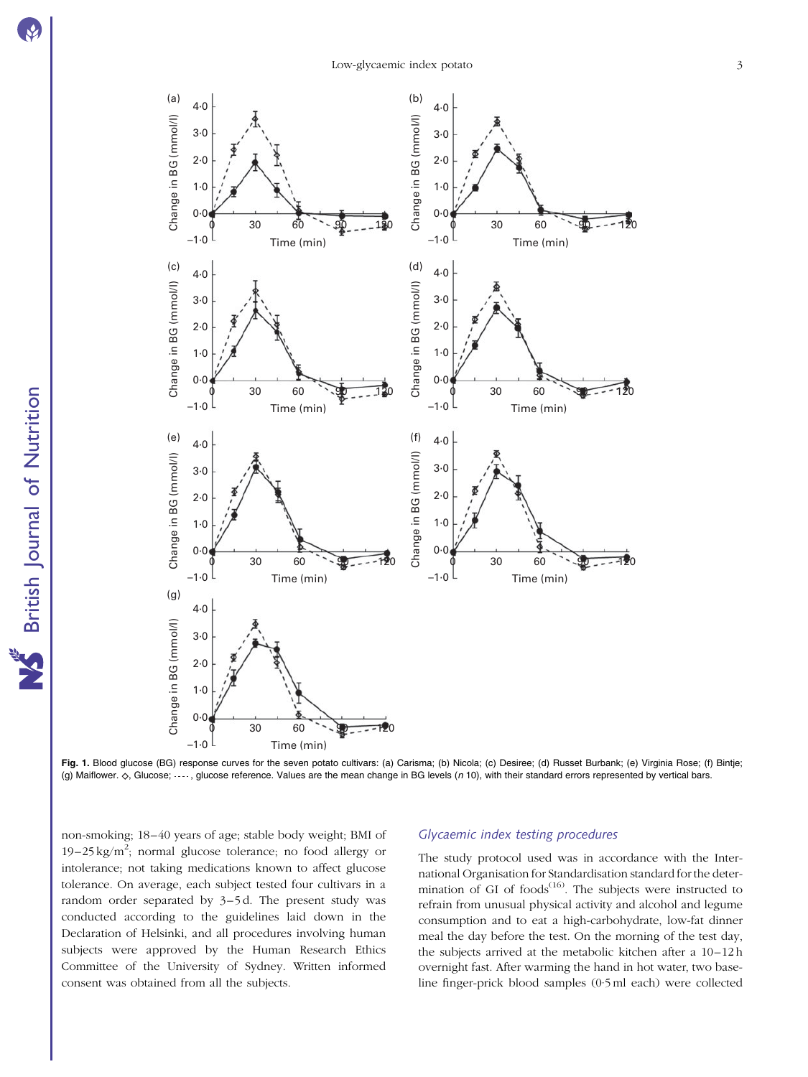NS British Journal of Nutrition British Journal of Nutrition

<span id="page-2-0"></span>

Fig. 1. Blood glucose (BG) response curves for the seven potato cultivars: (a) Carisma; (b) Nicola; (c) Desiree; (d) Russet Burbank; (e) Virginia Rose; (f) Bintje; (g) Maiflower.  $\diamondsuit$ , Glucose; ...., glucose reference. Values are the mean change in BG levels (n 10), with their standard errors represented by vertical bars.

non-smoking; 18–40 years of age; stable body weight; BMI of  $19-25$  kg/m<sup>2</sup>; normal glucose tolerance; no food allergy or intolerance; not taking medications known to affect glucose tolerance. On average, each subject tested four cultivars in a random order separated by 3–5 d. The present study was conducted according to the guidelines laid down in the Declaration of Helsinki, and all procedures involving human subjects were approved by the Human Research Ethics Committee of the University of Sydney. Written informed consent was obtained from all the subjects.

# Glycaemic index testing procedures

The study protocol used was in accordance with the International Organisation for Standardisation standard for the determination of GI of foods $(16)$ . The subjects were instructed to refrain from unusual physical activity and alcohol and legume consumption and to eat a high-carbohydrate, low-fat dinner meal the day before the test. On the morning of the test day, the subjects arrived at the metabolic kitchen after a 10–12 h overnight fast. After warming the hand in hot water, two baseline finger-prick blood samples (0·5 ml each) were collected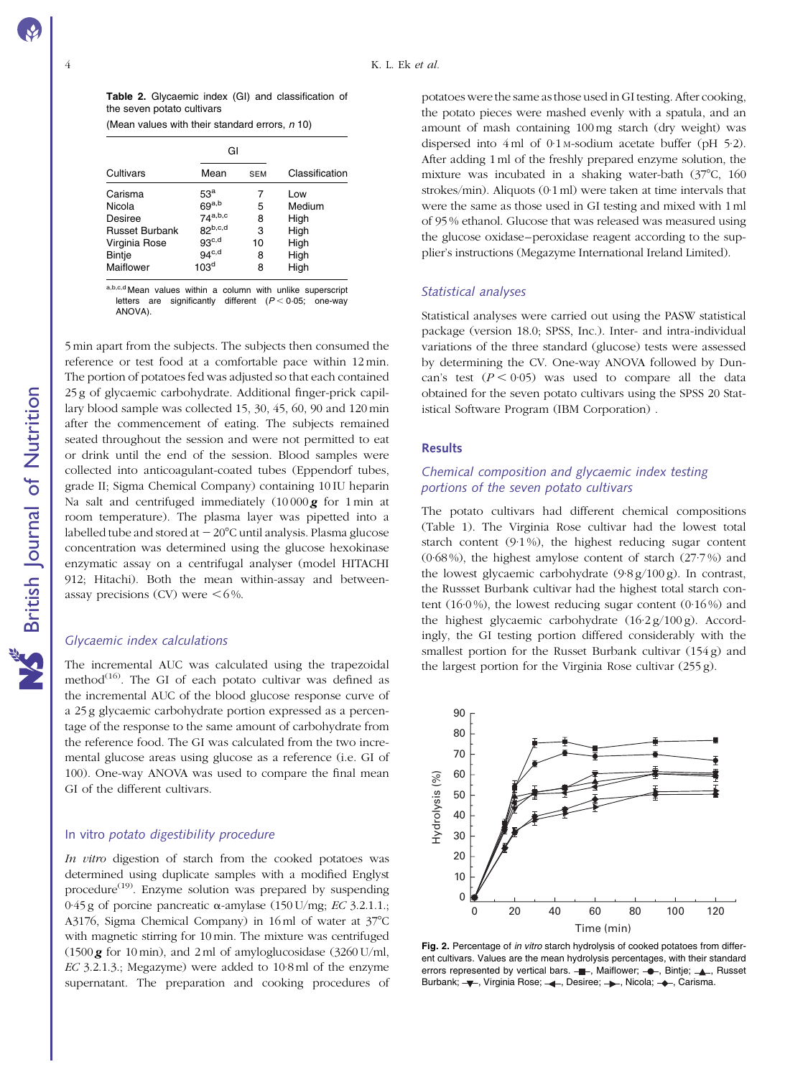<span id="page-3-0"></span>Table 2. Glycaemic index (GI) and classification of the seven potato cultivars

(Mean values with their standard errors,  $n$  10)

| Cultivars      | Mean              | <b>SEM</b> | Classification |
|----------------|-------------------|------------|----------------|
| Carisma        | $53^{\circ}$      | 7          | Low            |
| Nicola         | $69^{a,b}$        | 5          | Medium         |
| Desiree        | $74^{a,b,c}$      | 8          | High           |
| Russet Burbank | $82^{b,c,d}$      | з          | High           |
| Virginia Rose  | 93 <sub>c,d</sub> | 10         | High           |
| Bintje         | $94^{\text{c,d}}$ | 8          | High           |
| Maiflower      | 103 <sup>d</sup>  | 8          | High           |

a,b,c,d Mean values within a column with unlike superscript letters are significantly different ( $P < 0.05$ ; one-way ANOVA).

5 min apart from the subjects. The subjects then consumed the reference or test food at a comfortable pace within 12 min. The portion of potatoes fed was adjusted so that each contained 25 g of glycaemic carbohydrate. Additional finger-prick capillary blood sample was collected 15, 30, 45, 60, 90 and 120 min after the commencement of eating. The subjects remained seated throughout the session and were not permitted to eat or drink until the end of the session. Blood samples were collected into anticoagulant-coated tubes (Eppendorf tubes, grade II; Sigma Chemical Company) containing 10 IU heparin Na salt and centrifuged immediately  $(10000 \times 1 \text{ min at}$ room temperature). The plasma layer was pipetted into a labelled tube and stored at  $-20^{\circ}$ C until analysis. Plasma glucose concentration was determined using the glucose hexokinase enzymatic assay on a centrifugal analyser (model HITACHI 912; Hitachi). Both the mean within-assay and betweenassay precisions (CV) were  $<6\%$ .

#### Glycaemic index calculations

The incremental AUC was calculated using the trapezoidal method $(16)$ . The GI of each potato cultivar was defined as the incremental AUC of the blood glucose response curve of a 25 g glycaemic carbohydrate portion expressed as a percentage of the response to the same amount of carbohydrate from the reference food. The GI was calculated from the two incremental glucose areas using glucose as a reference (i.e. GI of 100). One-way ANOVA was used to compare the final mean GI of the different cultivars.

#### In vitro potato digestibility procedure

In vitro digestion of starch from the cooked potatoes was determined using duplicate samples with a modified Englyst procedure<sup>(19)</sup>. Enzyme solution was prepared by suspending 0.45 g of porcine pancreatic  $\alpha$ -amylase (150 U/mg; *EC* 3.2.1.1.; A3176, Sigma Chemical Company) in 16 ml of water at  $37^{\circ}$ C with magnetic stirring for 10min. The mixture was centrifuged  $(1500 \text{ g}$  for 10 min), and 2 ml of amyloglucosidase  $(3260 \text{ U/ml})$ , EC 3.2.1.3.; Megazyme) were added to 10·8ml of the enzyme supernatant. The preparation and cooking procedures of

potatoes were the same as those used in GI testing. After cooking, the potato pieces were mashed evenly with a spatula, and an amount of mash containing 100mg starch (dry weight) was dispersed into 4ml of 0·1 M-sodium acetate buffer (pH 5·2). After adding 1ml of the freshly prepared enzyme solution, the mixture was incubated in a shaking water-bath (37°C, 160 strokes/min). Aliquots (0·1ml) were taken at time intervals that were the same as those used in GI testing and mixed with 1ml of 95% ethanol. Glucose that was released was measured using the glucose oxidase–peroxidase reagent according to the supplier's instructions (Megazyme International Ireland Limited).

#### Statistical analyses

Statistical analyses were carried out using the PASW statistical package (version 18.0; SPSS, Inc.). Inter- and intra-individual variations of the three standard (glucose) tests were assessed by determining the CV. One-way ANOVA followed by Duncan's test  $(P < 0.05)$  was used to compare all the data obtained for the seven potato cultivars using the SPSS 20 Statistical Software Program (IBM Corporation) .

#### **Results**

# Chemical composition and glycaemic index testing portions of the seven potato cultivars

The potato cultivars had different chemical compositions [\(Table 1\)](#page-1-0). The Virginia Rose cultivar had the lowest total starch content  $(9.1\%)$ , the highest reducing sugar content (0·68 %), the highest amylose content of starch (27·7 %) and the lowest glycaemic carbohydrate (9·8 g/100 g). In contrast, the Russset Burbank cultivar had the highest total starch content (16 $0\%$ ), the lowest reducing sugar content (0 $0.16\%$ ) and the highest glycaemic carbohydrate  $(16.2 \text{ g}/100 \text{ g})$ . Accordingly, the GI testing portion differed considerably with the smallest portion for the Russet Burbank cultivar (154 g) and the largest portion for the Virginia Rose cultivar (255 g).

90 80 70 60 Hydrolysis (%) Hydrolysis (%) 50 40 30 20 10  $\overline{0}$ 0 20 40 60 80 100 120 Time (min)

Fig. 2. Percentage of *in vitro* starch hydrolysis of cooked potatoes from different cultivars. Values are the mean hydrolysis percentages, with their standard errors represented by vertical bars.  $-\blacksquare$ , Maiflower;  $-\spadesuit$ , Bintje;  $\blacktriangle$ , Russet Burbank;  $\rightarrow$ , Virginia Rose;  $\rightarrow$ , Desiree;  $\rightarrow$ , Nicola;  $\rightarrow$ , Carisma.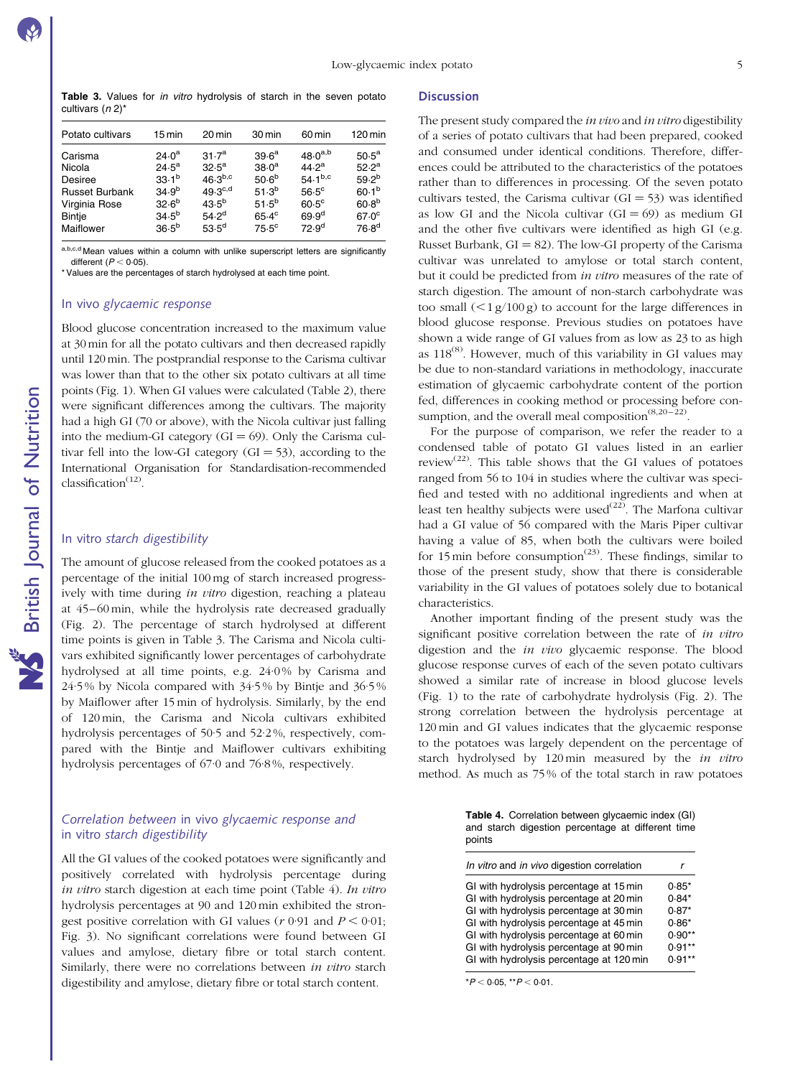Table 3. Values for *in vitro* hydrolysis of starch in the seven potato cultivars (n 2)\*

| Potato cultivars                                                                              | 15 min                                                                                                  | 20 min                                                                                                       | 30 min                                                                                                                      | 60 min                                                                                                                      | 120 min                                                                                                            |
|-----------------------------------------------------------------------------------------------|---------------------------------------------------------------------------------------------------------|--------------------------------------------------------------------------------------------------------------|-----------------------------------------------------------------------------------------------------------------------------|-----------------------------------------------------------------------------------------------------------------------------|--------------------------------------------------------------------------------------------------------------------|
| Carisma<br>Nicola<br>Desiree<br><b>Russet Burbank</b><br>Virginia Rose<br>Bintje<br>Maiflower | $24.0^a$<br>$24.5^{\rm a}$<br>33.1 <sup>b</sup><br>$34.9^{b}$<br>$32.6^{b}$<br>$34.5^{b}$<br>$36.5^{b}$ | 31.7 <sup>a</sup><br>$32.5^a$<br>$46.3^{b,c}$<br>$49.3^{c,d}$<br>$43.5^{b}$<br>$54.2^d$<br>53.5 <sup>d</sup> | 39.6 <sup>a</sup><br>38.0 <sup>a</sup><br>50.6 <sup>b</sup><br>$51.3^{b}$<br>$51.5^{b}$<br>$65.4^{\circ}$<br>$75.5^{\circ}$ | $48.0^{a,b}$<br>44.2 <sup>a</sup><br>$54.1^{b,c}$<br>$56.5^\circ$<br>$60.5^\circ$<br>69.9 <sup>d</sup><br>72.9 <sup>d</sup> | $50.5^{\circ}$<br>52.2 <sup>a</sup><br>$59.2^{b}$<br>$60.1^{b}$<br>$60.8^{b}$<br>$67.0^\circ$<br>76.8 <sup>d</sup> |
|                                                                                               |                                                                                                         |                                                                                                              |                                                                                                                             |                                                                                                                             |                                                                                                                    |

a,b,c,d Mean values within a column with unlike superscript letters are significantly different  $(P < 0.05)$ .

Values are the percentages of starch hydrolysed at each time point.

#### In vivo glycaemic response

Blood glucose concentration increased to the maximum value at 30min for all the potato cultivars and then decreased rapidly until 120min. The postprandial response to the Carisma cultivar was lower than that to the other six potato cultivars at all time points [\(Fig. 1\)](#page-2-0). When GI values were calculated ([Table 2](#page-3-0)), there were significant differences among the cultivars. The majority had a high GI (70 or above), with the Nicola cultivar just falling into the medium-GI category  $(GI = 69)$ . Only the Carisma cultivar fell into the low-GI category  $(GI = 53)$ , according to the International Organisation for Standardisation-recommended  $classification<sup>(12)</sup>$ .

#### In vitro starch digestibility

The amount of glucose released from the cooked potatoes as a percentage of the initial 100 mg of starch increased progressively with time during in vitro digestion, reaching a plateau at 45–60 min, while the hydrolysis rate decreased gradually ([Fig. 2](#page-3-0)). The percentage of starch hydrolysed at different time points is given in Table 3. The Carisma and Nicola cultivars exhibited significantly lower percentages of carbohydrate hydrolysed at all time points, e.g. 24<sup>-0</sup>% by Carisma and 24·5 % by Nicola compared with 34·5 % by Bintje and 36·5 % by Maiflower after 15 min of hydrolysis. Similarly, by the end of 120 min, the Carisma and Nicola cultivars exhibited hydrolysis percentages of 50·5 and 52·2 %, respectively, compared with the Bintje and Maiflower cultivars exhibiting hydrolysis percentages of 67·0 and 76·8 %, respectively.

# Correlation between in vivo glycaemic response and in vitro starch digestibility

All the GI values of the cooked potatoes were significantly and positively correlated with hydrolysis percentage during in vitro starch digestion at each time point (Table 4). In vitro hydrolysis percentages at 90 and 120 min exhibited the strongest positive correlation with GI values ( $r \, 0.91$  and  $P \leq 0.01$ ; [Fig. 3](#page-5-0)). No significant correlations were found between GI values and amylose, dietary fibre or total starch content. Similarly, there were no correlations between in vitro starch digestibility and amylose, dietary fibre or total starch content.

#### **Discussion**

The present study compared the *in vivo* and *in vitro* digestibility of a series of potato cultivars that had been prepared, cooked and consumed under identical conditions. Therefore, differences could be attributed to the characteristics of the potatoes rather than to differences in processing. Of the seven potato cultivars tested, the Carisma cultivar  $(GI = 53)$  was identified as low GI and the Nicola cultivar  $(GI = 69)$  as medium GI and the other five cultivars were identified as high GI (e.g. Russet Burbank,  $GI = 82$ ). The low-GI property of the Carisma cultivar was unrelated to amylose or total starch content, but it could be predicted from in vitro measures of the rate of starch digestion. The amount of non-starch carbohydrate was too small  $(<1 g/100 g)$  to account for the large differences in blood glucose response. Previous studies on potatoes have shown a wide range of GI values from as low as 23 to as high as  $118^{(8)}$ . However, much of this variability in GI values may be due to non-standard variations in methodology, inaccurate estimation of glycaemic carbohydrate content of the portion fed, differences in cooking method or processing before consumption, and the overall meal composition<sup> $(8,20-22)$ </sup>.

For the purpose of comparison, we refer the reader to a condensed table of potato GI values listed in an earlier review<sup>(22)</sup>. This table shows that the GI values of potatoes ranged from 56 to 104 in studies where the cultivar was specified and tested with no additional ingredients and when at least ten healthy subjects were used<sup> $(22)$ </sup>. The Marfona cultivar had a GI value of 56 compared with the Maris Piper cultivar having a value of 85, when both the cultivars were boiled for 15 min before consumption<sup> $(23)$ </sup>. These findings, similar to those of the present study, show that there is considerable variability in the GI values of potatoes solely due to botanical characteristics.

Another important finding of the present study was the significant positive correlation between the rate of in vitro digestion and the in vivo glycaemic response. The blood glucose response curves of each of the seven potato cultivars showed a similar rate of increase in blood glucose levels (Fig. 1) to the rate of carbohydrate hydrolysis [\(Fig. 2](#page-3-0)). The strong correlation between the hydrolysis percentage at 120 min and GI values indicates that the glycaemic response to the potatoes was largely dependent on the percentage of starch hydrolysed by 120 min measured by the in vitro method. As much as 75 % of the total starch in raw potatoes

Table 4. Correlation between glycaemic index (GI) and starch digestion percentage at different time points

| In vitro and in vivo digestion correlation                                                                                                                                                                                                                                                                 | r                                                                             |
|------------------------------------------------------------------------------------------------------------------------------------------------------------------------------------------------------------------------------------------------------------------------------------------------------------|-------------------------------------------------------------------------------|
| GI with hydrolysis percentage at 15 min<br>GI with hydrolysis percentage at 20 min<br>GI with hydrolysis percentage at 30 min<br>GI with hydrolysis percentage at 45 min<br>GI with hydrolysis percentage at 60 min<br>GI with hydrolysis percentage at 90 min<br>GI with hydrolysis percentage at 120 min | $0.85*$<br>$0.84*$<br>$0.87*$<br>$0.86*$<br>$0.90**$<br>$0.91***$<br>$0.91**$ |
|                                                                                                                                                                                                                                                                                                            |                                                                               |

 $*P < 0.05$ ,  $*P < 0.01$ .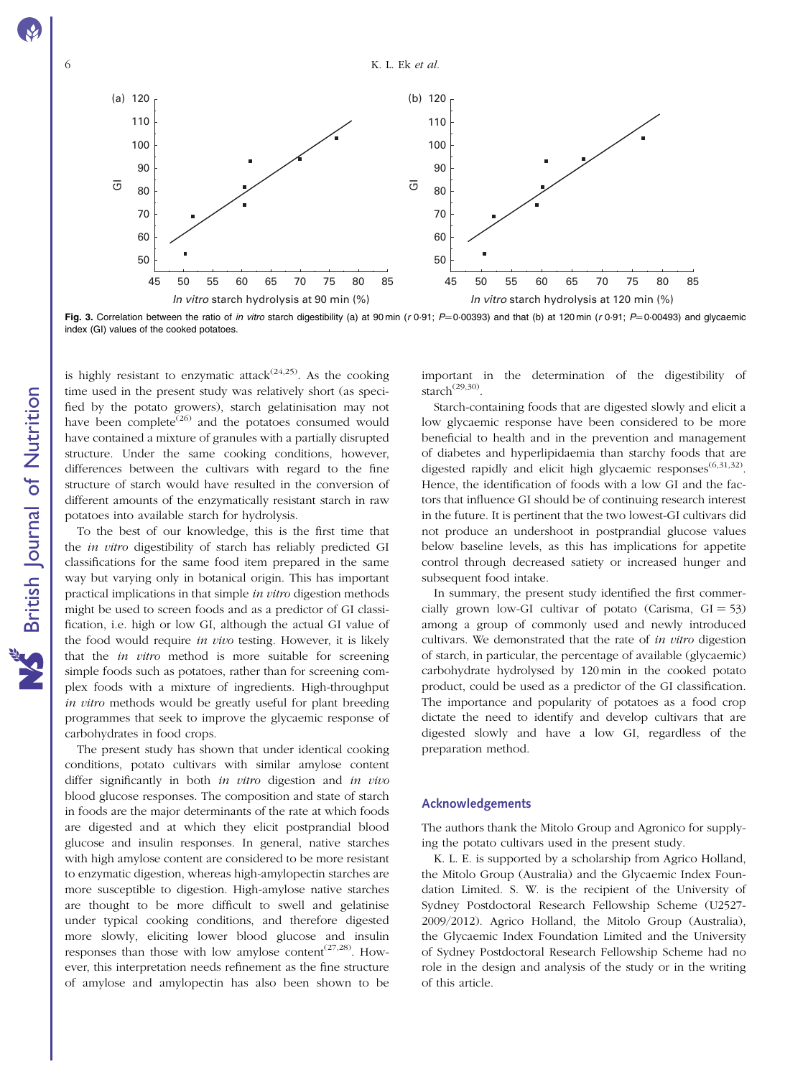<span id="page-5-0"></span>



Fig. 3. Correlation between the ratio of in vitro starch digestibility (a) at 90 min (r 0·91;  $P=0.00393$ ) and that (b) at 120 min (r 0·91;  $P=0.00493$ ) and glycaemic index (GI) values of the cooked potatoes.

is highly resistant to enzymatic attack<sup> $(24,25)$ </sup>. As the cooking time used in the present study was relatively short (as specified by the potato growers), starch gelatinisation may not have been complete<sup> $(26)$ </sup> and the potatoes consumed would have contained a mixture of granules with a partially disrupted structure. Under the same cooking conditions, however, differences between the cultivars with regard to the fine structure of starch would have resulted in the conversion of different amounts of the enzymatically resistant starch in raw potatoes into available starch for hydrolysis.

To the best of our knowledge, this is the first time that the in vitro digestibility of starch has reliably predicted GI classifications for the same food item prepared in the same way but varying only in botanical origin. This has important practical implications in that simple in vitro digestion methods might be used to screen foods and as a predictor of GI classification, i.e. high or low GI, although the actual GI value of the food would require in vivo testing. However, it is likely that the *in vitro* method is more suitable for screening simple foods such as potatoes, rather than for screening complex foods with a mixture of ingredients. High-throughput in vitro methods would be greatly useful for plant breeding programmes that seek to improve the glycaemic response of carbohydrates in food crops.

The present study has shown that under identical cooking conditions, potato cultivars with similar amylose content differ significantly in both in vitro digestion and in vivo blood glucose responses. The composition and state of starch in foods are the major determinants of the rate at which foods are digested and at which they elicit postprandial blood glucose and insulin responses. In general, native starches with high amylose content are considered to be more resistant to enzymatic digestion, whereas high-amylopectin starches are more susceptible to digestion. High-amylose native starches are thought to be more difficult to swell and gelatinise under typical cooking conditions, and therefore digested more slowly, eliciting lower blood glucose and insulin responses than those with low amylose content<sup> $(27,28)$ </sup>. However, this interpretation needs refinement as the fine structure of amylose and amylopectin has also been shown to be important in the determination of the digestibility of starch $(29,30)$ 

Starch-containing foods that are digested slowly and elicit a low glycaemic response have been considered to be more beneficial to health and in the prevention and management of diabetes and hyperlipidaemia than starchy foods that are digested rapidly and elicit high glycaemic responses  $(6,31,32)$ . Hence, the identification of foods with a low GI and the factors that influence GI should be of continuing research interest in the future. It is pertinent that the two lowest-GI cultivars did not produce an undershoot in postprandial glucose values below baseline levels, as this has implications for appetite control through decreased satiety or increased hunger and subsequent food intake.

In summary, the present study identified the first commercially grown low-GI cultivar of potato (Carisma,  $GI = 53$ ) among a group of commonly used and newly introduced cultivars. We demonstrated that the rate of in vitro digestion of starch, in particular, the percentage of available (glycaemic) carbohydrate hydrolysed by 120 min in the cooked potato product, could be used as a predictor of the GI classification. The importance and popularity of potatoes as a food crop dictate the need to identify and develop cultivars that are digested slowly and have a low GI, regardless of the preparation method.

#### Acknowledgements

The authors thank the Mitolo Group and Agronico for supplying the potato cultivars used in the present study.

K. L. E. is supported by a scholarship from Agrico Holland, the Mitolo Group (Australia) and the Glycaemic Index Foundation Limited. S. W. is the recipient of the University of Sydney Postdoctoral Research Fellowship Scheme (U2527- 2009/2012). Agrico Holland, the Mitolo Group (Australia), the Glycaemic Index Foundation Limited and the University of Sydney Postdoctoral Research Fellowship Scheme had no role in the design and analysis of the study or in the writing of this article.